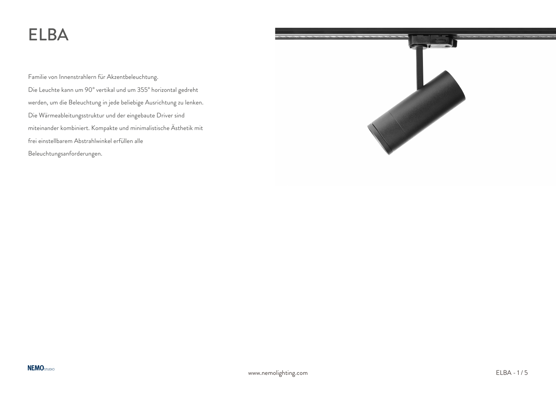# ELBA

Familie von Innenstrahlern für Akzentbeleuchtung. Die Leuchte kann um 90° vertikal und um 355° horizontal gedreht werden, um die Beleuchtung in jede beliebige Ausrichtung zu lenken. Die Wärmeableitungsstruktur und der eingebaute Driver sind miteinander kombiniert. Kompakte und minimalistische Ästhetik mit frei einstellbarem Abstrahlwinkel erfüllen alle Beleuchtungsanforderungen.

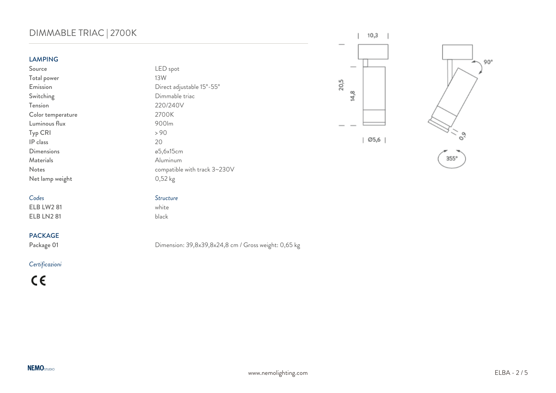# DIMMABLE TRIAC | 2700K

### LAMPING

*Codes Structure*  $ELB$  LW2 81 ELB LN2 81 black

### PACKAGE

### *Certificazioni*

 $C \in$ 

| <b>LAMPING</b>    |                              |
|-------------------|------------------------------|
| Source            | LED spot                     |
| Total power       | 13W                          |
| Emission          | Direct adjustable 15°-55°    |
| Switching         | Dimmable triac               |
| Tension           | 220/240V                     |
| Color temperature | 2700K                        |
| Luminous flux     | 900lm                        |
| Typ CRI           | > 90                         |
| IP class          | 20                           |
| <b>Dimensions</b> | ø5,6x15cm                    |
| Materials         | Aluminum                     |
| <b>Notes</b>      | compatible with track 3~230V |
| Net lamp weight   | $0,52 \text{ kg}$            |



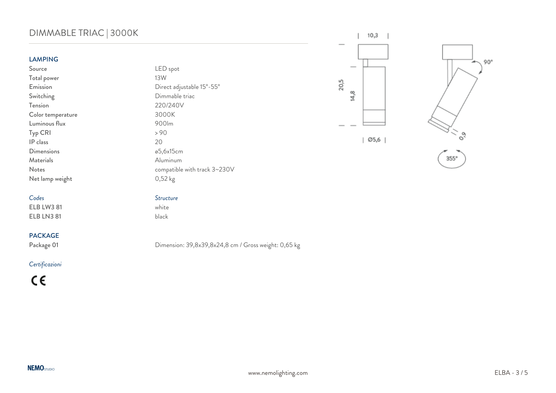# DIMMABLE TRIAC | 3000K

### LAMPING

Source LED spot Total power Switching Dimmable triac<br>Tension 220/240V Color temperature 3000K Luminous flux 900lm<br>Typ CRI > 90 Typ CRI IP class 20 Dimensions and a settlement of the settlement of the settlement of the settlement of the settlement of the set Materials **Aluminum** Net lamp weight 0,52 kg

*Codes Structure*  $ELB$  LW3 81 ELB LN3 81 black

### PACKAGE

### *Certificazioni*

 $C \in$ 





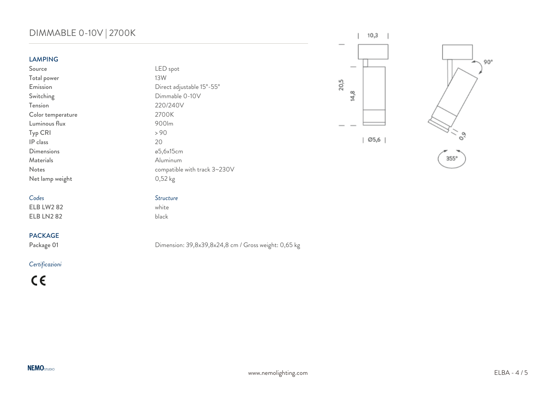# DIMMABLE 0-10V | 2700K

20,5

 $14,8$ 

 $10,3$ 

Ø5,6 |

 $\mathsf{L}$ 

| o, |
|----|

 $.90^\circ$ 

 $355^\circ$ 

LAMPING

Total power

*Codes Structure*  $ELB$  LW2 82 ELB LN2 82 black

### PACKAGE

### *Certificazioni*

 $C \in$